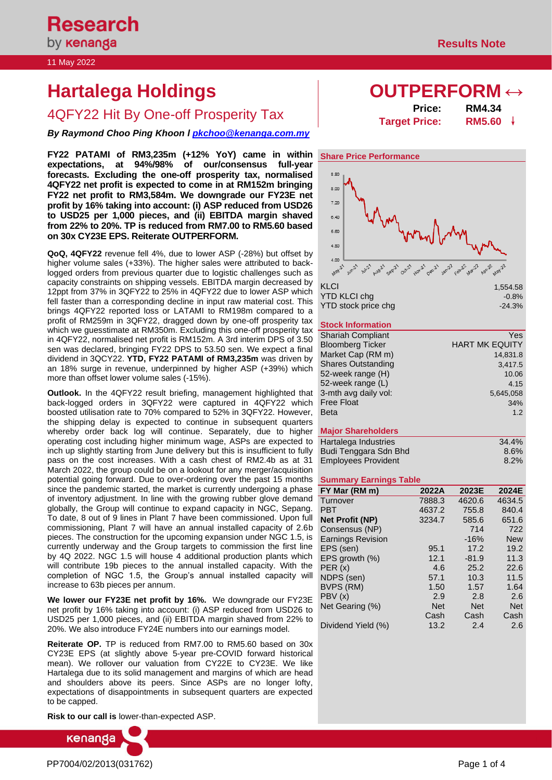# **Hartalega Holdings OUTPERFORM ↔**

**4QFY22 Hit By One-off Prosperity Tax** 

*By Raymond Choo Ping Khoon l [pkchoo@kenanga.com.my](mailto:pkchoo@kenanga.com.my)*

**FY22 PATAMI of RM3,235m (+12% YoY) came in within expectations, at 94%/98% of our/consensus full-year forecasts. Excluding the one-off prosperity tax, normalised 4QFY22 net profit is expected to come in at RM152m bringing FY22 net profit to RM3,584m. We downgrade our FY23E net profit by 16% taking into account: (i) ASP reduced from USD26 to USD25 per 1,000 pieces, and (ii) EBITDA margin shaved from 22% to 20%. TP is reduced from RM7.00 to RM5.60 based on 30x CY23E EPS. Reiterate OUTPERFORM.**

**QoQ, 4QFY22** revenue fell 4%, due to lower ASP (-28%) but offset by higher volume sales (+33%). The higher sales were attributed to backlogged orders from previous quarter due to logistic challenges such as capacity constraints on shipping vessels. EBITDA margin decreased by 12ppt from 37% in 3QFY22 to 25% in 4QFY22 due to lower ASP which fell faster than a corresponding decline in input raw material cost. This brings 4QFY22 reported loss or LATAMI to RM198m compared to a profit of RM259m in 3QFY22, dragged down by one-off prosperity tax which we guesstimate at RM350m. Excluding this one-off prosperity tax in 4QFY22, normalised net profit is RM152m. A 3rd interim DPS of 3.50 sen was declared, bringing FY22 DPS to 53.50 sen. We expect a final dividend in 3QCY22. **YTD, FY22 PATAMI of RM3,235m** was driven by an 18% surge in revenue, underpinned by higher ASP (+39%) which more than offset lower volume sales (-15%).

**Outlook.** In the 4QFY22 result briefing, management highlighted that back-logged orders in 3QFY22 were captured in 4QFY22 which boosted utilisation rate to 70% compared to 52% in 3QFY22. However, the shipping delay is expected to continue in subsequent quarters whereby order back log will continue. Separately, due to higher operating cost including higher minimum wage, ASPs are expected to inch up slightly starting from June delivery but this is insufficient to fully pass on the cost increases. With a cash chest of RM2.4b as at 31 March 2022, the group could be on a lookout for any merger/acquisition potential going forward. Due to over-ordering over the past 15 months **Summary Earnings Table** since the pandemic started, the market is currently undergoing a phase of inventory adjustment. In line with the growing rubber glove demand globally, the Group will continue to expand capacity in NGC, Sepang. To date, 8 out of 9 lines in Plant 7 have been commissioned. Upon full commissioning, Plant 7 will have an annual installed capacity of 2.6b pieces. The construction for the upcoming expansion under NGC 1.5, is currently underway and the Group targets to commission the first line by 4Q 2022. NGC 1.5 will house 4 additional production plants which will contribute 19b pieces to the annual installed capacity. With the completion of NGC 1.5, the Group's annual installed capacity will increase to 63b pieces per annum.

**We lower our FY23E net profit by 16%.** We downgrade our FY23E net profit by 16% taking into account: (i) ASP reduced from USD26 to USD25 per 1,000 pieces, and (ii) EBITDA margin shaved from 22% to 20%. We also introduce FY24E numbers into our earnings model.

**Reiterate OP.** TP is reduced from RM7.00 to RM5.60 based on 30x CY23E EPS (at slightly above 5-year pre-COVID forward historical mean). We rollover our valuation from CY22E to CY23E. We like Hartalega due to its solid management and margins of which are head and shoulders above its peers. Since ASPs are no longer lofty, expectations of disappointments in subsequent quarters are expected to be capped.

**Risk to our call is** lower-than-expected ASP.



| Price:               | <b>RM4.34</b> |  |
|----------------------|---------------|--|
| <b>Target Price:</b> | <b>RM5.60</b> |  |

# **Share Price Performance**



### **Stock Information**

| <b>Shariah Compliant</b>  | Yes                   |
|---------------------------|-----------------------|
| <b>Bloomberg Ticker</b>   | <b>HART MK EQUITY</b> |
| Market Cap (RM m)         | 14,831.8              |
| <b>Shares Outstanding</b> | 3,417.5               |
| 52-week range (H)         | 10.06                 |
| 52-week range (L)         | 4.15                  |
| 3-mth avg daily vol:      | 5,645,058             |
| <b>Free Float</b>         | 34%                   |
| <b>Beta</b>               | 1.2                   |
|                           |                       |
| <b>Major Shareholders</b> |                       |
| Hartalega Industries      | 34.4%                 |

| $8.6\%$ |
|---------|
| 8.2%    |
|         |

| FY Mar (RM m)            | 2022A      | 2023E      | 2024E      |
|--------------------------|------------|------------|------------|
| Turnover                 | 7888.3     | 4620.6     | 4634.5     |
| <b>PBT</b>               | 4637.2     | 755.8      | 840.4      |
| <b>Net Profit (NP)</b>   | 3234.7     | 585.6      | 651.6      |
| Consensus (NP)           |            | 714        | 722        |
| <b>Earnings Revision</b> |            | $-16%$     | <b>New</b> |
| EPS (sen)                | 95.1       | 17.2       | 19.2       |
| EPS growth (%)           | 12.1       | $-81.9$    | 11.3       |
| PER(x)                   | 4.6        | 25.2       | 22.6       |
| NDPS (sen)               | 57.1       | 10.3       | 11.5       |
| BVPS (RM)                | 1.50       | 1.57       | 1.64       |
| PBV (x)                  | 2.9        | 2.8        | 2.6        |
| Net Gearing (%)          | <b>Net</b> | <b>Net</b> | <b>Net</b> |
|                          | Cash       | Cash       | Cash       |
| Dividend Yield (%)       | 13.2       | 2.4        | 2.6        |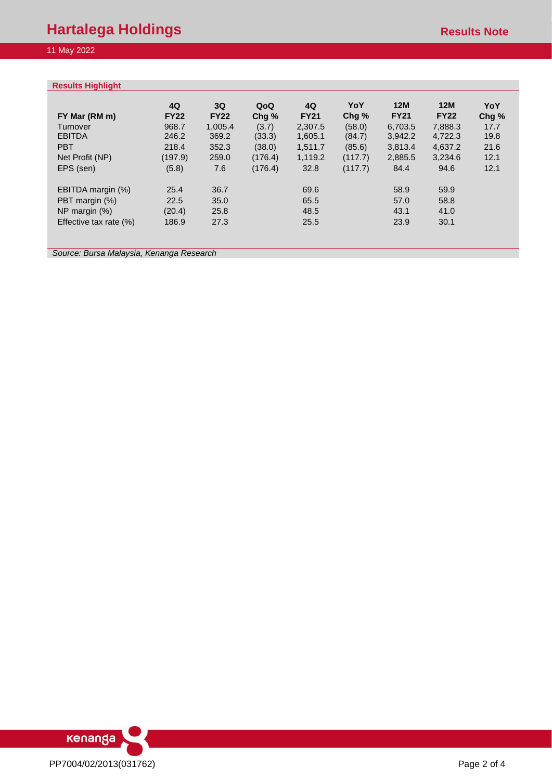|                        | 4Q          | 3Q          | QoQ     | 4Q          | YoY     | 12M         | 12M         | YoY  |
|------------------------|-------------|-------------|---------|-------------|---------|-------------|-------------|------|
| FY Mar (RM m)          | <b>FY22</b> | <b>FY22</b> | Chg%    | <b>FY21</b> | Chg%    | <b>FY21</b> | <b>FY22</b> | Chg% |
| Turnover               | 968.7       | 1,005.4     | (3.7)   | 2,307.5     | (58.0)  | 6,703.5     | 7,888.3     | 17.7 |
| <b>EBITDA</b>          | 246.2       | 369.2       | (33.3)  | 1,605.1     | (84.7)  | 3,942.2     | 4,722.3     | 19.8 |
| <b>PBT</b>             | 218.4       | 352.3       | (38.0)  | 1,511.7     | (85.6)  | 3,813.4     | 4,637.2     | 21.6 |
| Net Profit (NP)        | (197.9)     | 259.0       | (176.4) | 1,119.2     | (117.7) | 2,885.5     | 3,234.6     | 12.1 |
| EPS (sen)              | (5.8)       | 7.6         | (176.4) | 32.8        | (117.7) | 84.4        | 94.6        | 12.1 |
| EBITDA margin (%)      | 25.4        | 36.7        |         | 69.6        |         | 58.9        | 59.9        |      |
| PBT margin (%)         | 22.5        | 35.0        |         | 65.5        |         | 57.0        | 58.8        |      |
| NP margin $(\%)$       | (20.4)      | 25.8        |         | 48.5        |         | 43.1        | 41.0        |      |
| Effective tax rate (%) | 186.9       | 27.3        |         | 25.5        |         | 23.9        | 30.1        |      |

*Source: Bursa Malaysia, Kenanga Research*

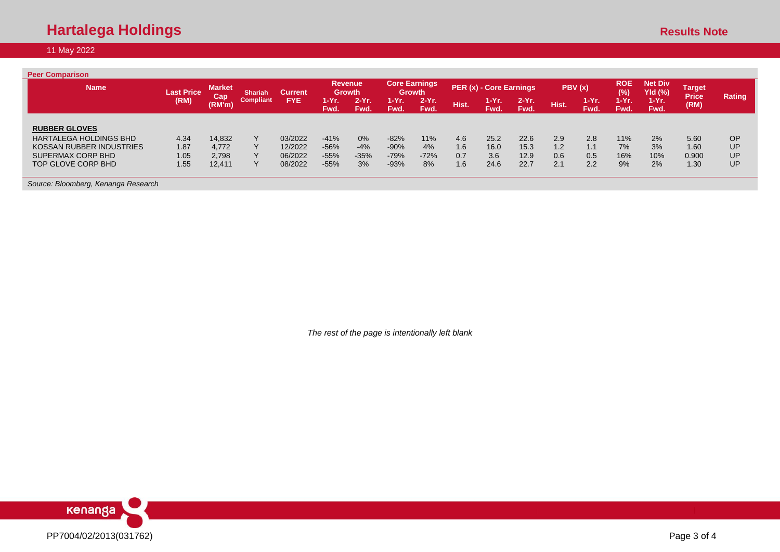| <b>Peer Comparison</b>              |                   |                      |                  |                |                                 |                  |                        |                                       |       |                         |                 |        |                  |                      |                           |                               |           |
|-------------------------------------|-------------------|----------------------|------------------|----------------|---------------------------------|------------------|------------------------|---------------------------------------|-------|-------------------------|-----------------|--------|------------------|----------------------|---------------------------|-------------------------------|-----------|
| <b>Name</b>                         | <b>Last Price</b> | <b>Market</b><br>Cap | Shariah          | <b>Current</b> | <b>Revenue</b><br><b>Growth</b> |                  |                        | <b>Core Earnings</b><br><b>Growth</b> |       | PER (x) - Core Earnings |                 | PBV(x) |                  | <b>ROE</b><br>$(\%)$ | <b>Net Div</b><br>Yld (%) | <b>Target</b><br><b>Price</b> | Rating    |
|                                     | (RM)              | (RM'm)               | <b>Compliant</b> | <b>FYE</b>     | 1-Yr.<br>Fwd.                   | $2-Yr$ .<br>Fwd. | $1-Yr$ .<br><b>Fwd</b> | $2-Yr$ .<br>Fwd.                      | Hist. | $1-Yr.$<br>Fwd.         | $2-Yr.$<br>Fwd. | Hist.  | $1-Yr$ .<br>Fwd. | 1-Yr.<br>Fwd.        | $1-Yr.$<br>Fwd.           | (RM)                          |           |
|                                     |                   |                      |                  |                |                                 |                  |                        |                                       |       |                         |                 |        |                  |                      |                           |                               |           |
| <b>RUBBER GLOVES</b>                |                   |                      |                  |                |                                 |                  |                        |                                       |       |                         |                 |        |                  |                      |                           |                               |           |
| <b>HARTALEGA HOLDINGS BHD</b>       | 4.34              | 14,832               | $\checkmark$     | 03/2022        | $-41%$                          | 0%               | $-82%$                 | 11%                                   | 4.6   | 25.2                    | 22.6            | 2.9    | 2.8              | 11%                  | 2%                        | 5.60                          | <b>OP</b> |
| KOSSAN RUBBER INDUSTRIES            | 1.87              | 4,772                |                  | 12/2022        | $-56%$                          | $-4%$            | $-90%$                 | 4%                                    | 1.6   | 16.0                    | 15.3            | 1.2    | 1.1              | 7%                   | 3%                        | 1.60                          | UP        |
| SUPERMAX CORP BHD                   | 1.05              | 2,798                |                  | 06/2022        | $-55%$                          | $-35%$           | $-79%$                 | $-72%$                                | 0.7   | 3.6                     | 12.9            | 0.6    | 0.5              | 16%                  | 10%                       | 0.900                         | UP        |
| TOP GLOVE CORP BHD                  | 1.55              | 12,411               |                  | 08/2022        | $-55%$                          | 3%               | $-93%$                 | 8%                                    | 1.6   | 24.6                    | 22.7            | 2.1    | 2.2              | 9%                   | 2%                        | 1.30                          | UP        |
| Source: Bloomberg, Kenanga Research |                   |                      |                  |                |                                 |                  |                        |                                       |       |                         |                 |        |                  |                      |                           |                               |           |

*The rest of the page is intentionally left blank*